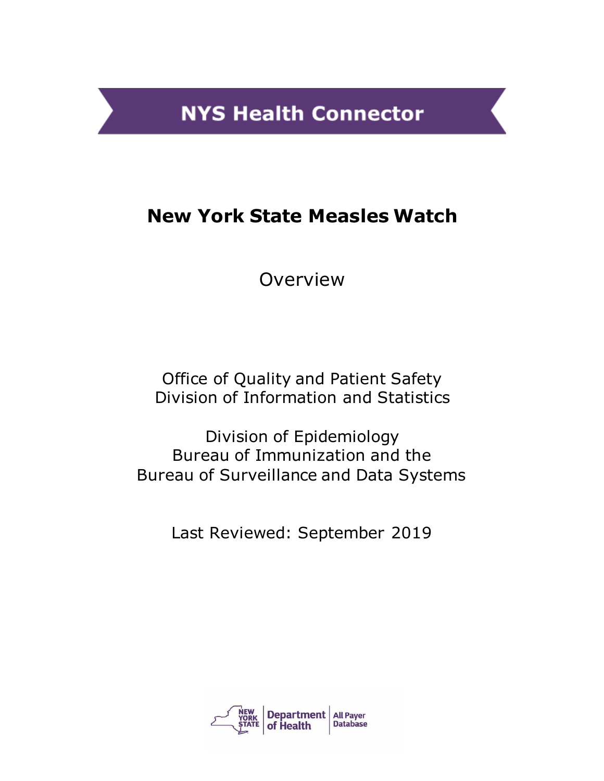**NYS Health Connector** 

# **New York State Measles Watch**

Overview

Office of Quality and Patient Safety Division of Information and Statistics

Division of Epidemiology Bureau of Immunization and the Bureau of Surveillance and Data Systems

Last Reviewed: September 2019

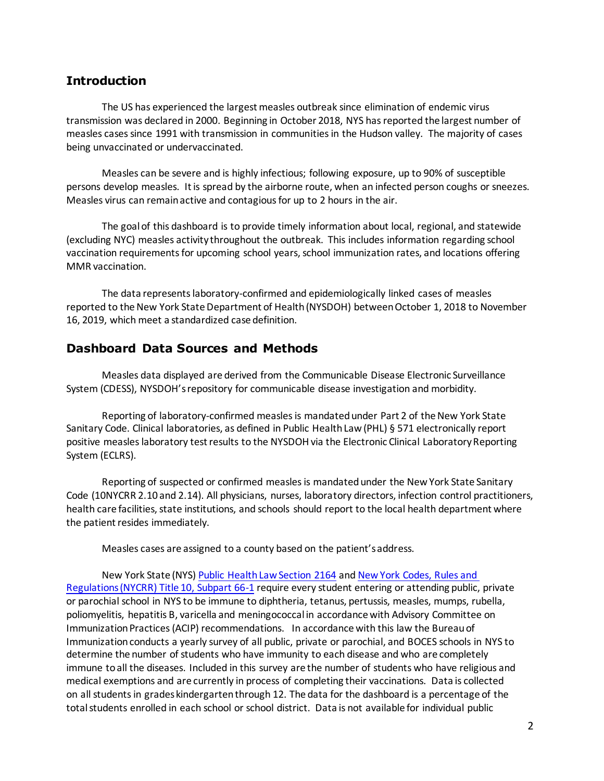#### **Introduction**

The US has experienced the largest measles outbreak since elimination of endemic virus transmission was declared in 2000. Beginning in October 2018, NYS has reported the largest number of measles cases since 1991 with transmission in communities in the Hudson valley. The majority of cases being unvaccinated or undervaccinated.

Measles can be severe and is highly infectious; following exposure, up to 90% of susceptible persons develop measles. It is spread by the airborne route, when an infected person coughs or sneezes. Measles virus can remain active and contagious for up to 2 hours in the air.

The goal of this dashboard is to provide timely information about local, regional, and statewide (excluding NYC) measles activity throughout the outbreak. This includes information regarding school vaccination requirements for upcoming school years, school immunization rates, and locations offering MMR vaccination.

The data represents laboratory-confirmed and epidemiologically linked cases of measles reported to the New York State Department of Health (NYSDOH) between October 1, 2018 to November 16, 2019, which meet a standardized case definition.

#### **Dashboard Data Sources and Methods**

Measles data displayed are derived from the Communicable Disease Electronic Surveillance System (CDESS), NYSDOH'srepository for communicable disease investigation and morbidity.

Reporting of laboratory-confirmed measles is mandated under Part 2 of the New York State Sanitary Code. Clinical laboratories, as defined in Public Health Law (PHL) § 571 electronically report positive measles laboratory test results to the NYSDOH via the Electronic Clinical Laboratory Reporting System (ECLRS).

Reporting of suspected or confirmed measles is mandated under the New York State Sanitary Code (10NYCRR 2.10 and 2.14). All physicians, nurses, laboratory directors, infection control practitioners, health care facilities, state institutions, and schools should report to the local health department where the patient resides immediately.

Measles cases are assigned to a county based on the patient's address.

New York State (NYS[\) Public Health Law Section 2164](https://www.health.ny.gov/prevention/immunization/schools/docs/phl_title_vi.pdf) an[d New York Codes, Rules and](https://regs.health.ny.gov/volume-1a-title-10/content/subpart-66-1-school-immunization-requirements)  [Regulations \(NYCRR\) Title 10, Subpart 66-1](https://regs.health.ny.gov/volume-1a-title-10/content/subpart-66-1-school-immunization-requirements) require every student entering or attending public, private or parochial school in NYS to be immune to diphtheria, tetanus, pertussis, measles, mumps, rubella, poliomyelitis, hepatitis B, varicella and meningococcal in accordance with Advisory Committee on Immunization Practices (ACIP) recommendations. In accordance with this law the Bureau of Immunization conducts a yearly survey of all public, private or parochial, and BOCES schools in NYS to determine the number of students who have immunity to each disease and who are completely immune to all the diseases. Included in this survey are the number of students who have religious and medical exemptions and are currently in process of completing their vaccinations. Data is collected on all students in grades kindergarten through 12. The data for the dashboard is a percentage of the total students enrolled in each school or school district. Data is not available for individual public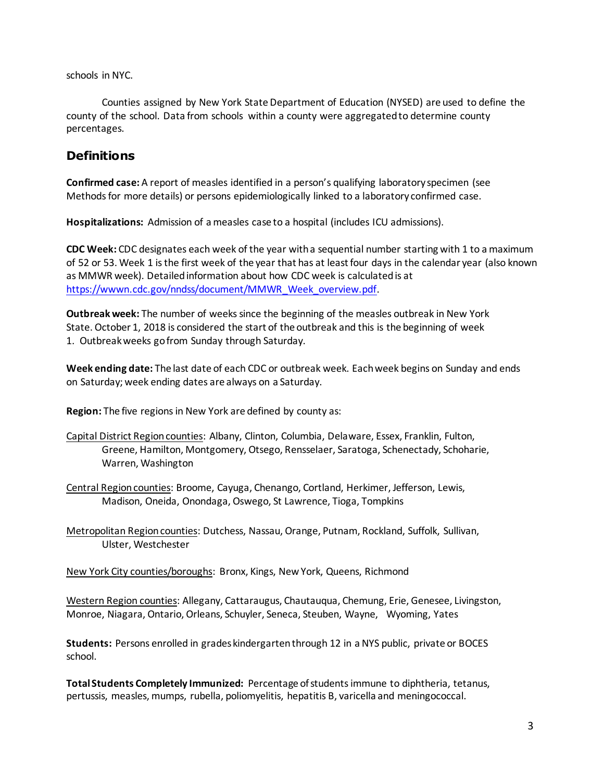schools in NYC.

Counties assigned by New York State Department of Education (NYSED) are used to define the county of the school. Data from schools within a county were aggregated to determine county percentages.

## **Definitions**

**Confirmed case:** A report of measles identified in a person's qualifying laboratory specimen (see Methods for more details) or persons epidemiologically linked to a laboratory confirmed case.

**Hospitalizations:** Admission of a measles case to a hospital (includes ICU admissions).

**CDC Week:** CDC designates each week of the year with a sequential number starting with 1 to a maximum of 52 or 53. Week 1 is the first week of the year that has at least four days in the calendar year (also known as MMWR week). Detailed information about how CDC week is calculated is at [https://wwwn.cdc.gov/nndss/document/MMWR\\_Week\\_overview.pdf.](https://wwwn.cdc.gov/nndss/document/MMWR_Week_overview.pdf)

**Outbreak week:** The number of weeks since the beginning of the measles outbreak in New York State. October 1, 2018 is considered the start of the outbreak and this is the beginning of week 1. Outbreak weeks go from Sunday through Saturday.

**Week ending date:** The last date of each CDC or outbreak week. Each week begins on Sunday and ends on Saturday; week ending dates are always on a Saturday.

**Region:** The five regions in New York are defined by county as:

- Capital District Region counties: Albany, Clinton, Columbia, Delaware, Essex, Franklin, Fulton, Greene, Hamilton, Montgomery, Otsego, Rensselaer, Saratoga, Schenectady, Schoharie, Warren, Washington
- Central Region counties: Broome, Cayuga, Chenango, Cortland, Herkimer, Jefferson, Lewis, Madison, Oneida, Onondaga, Oswego, St Lawrence, Tioga, Tompkins

Metropolitan Region counties: Dutchess, Nassau, Orange, Putnam, Rockland, Suffolk, Sullivan, Ulster, Westchester

New York City counties/boroughs: Bronx, Kings, New York, Queens, Richmond

Western Region counties: Allegany, Cattaraugus, Chautauqua, Chemung, Erie, Genesee, Livingston, Monroe, Niagara, Ontario, Orleans, Schuyler, Seneca, Steuben, Wayne, Wyoming, Yates

**Students:** Persons enrolled in grades kindergarten through 12 in a NYS public, private or BOCES school.

**Total Students Completely Immunized:** Percentage of students immune to diphtheria, tetanus, pertussis, measles, mumps, rubella, poliomyelitis, hepatitis B, varicella and meningococcal.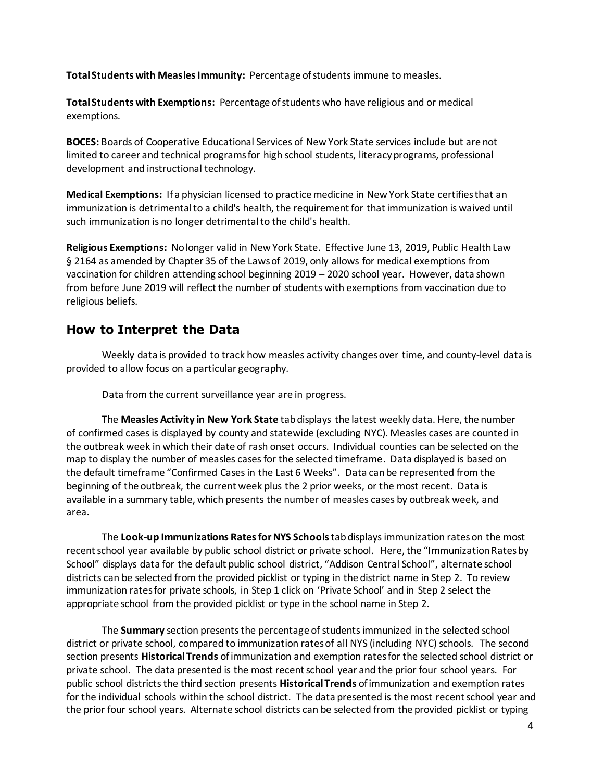**Total Students with Measles Immunity:** Percentage of students immune to measles.

**Total Students with Exemptions:** Percentage of students who have religious and or medical exemptions.

**BOCES:** Boards of Cooperative Educational Services of New York State services include but are not limited to career and technical programs for high school students, literacy programs, professional development and instructional technology.

**Medical Exemptions:** If a physician licensed to practice medicine in New York State certifies that an immunization is detrimental to a child's health, the requirement for that immunization is waived until such immunization is no longer detrimental to the child's health.

**Religious Exemptions:** No longer valid in New York State. Effective June 13, 2019, Public Health Law § 2164 as amended by Chapter 35 of the Laws of 2019, only allows for medical exemptions from vaccination for children attending school beginning 2019 – 2020 school year. However, data shown from before June 2019 will reflect the number of students with exemptions from vaccination due to religious beliefs.

#### **How to Interpret the Data**

Weekly data is provided to track how measles activity changes over time, and county-level data is provided to allow focus on a particular geography.

Data from the current surveillance year are in progress.

The **Measles Activity in New York State** tab displays the latest weekly data. Here, the number of confirmed cases is displayed by county and statewide (excluding NYC). Measles cases are counted in the outbreak week in which their date of rash onset occurs. Individual counties can be selected on the map to display the number of measles cases for the selected timeframe. Data displayed is based on the default timeframe "Confirmed Cases in the Last 6 Weeks". Data can be represented from the beginning of the outbreak, the current week plus the 2 prior weeks, or the most recent. Data is available in a summary table, which presents the number of measles cases by outbreak week, and area.

The **Look-up Immunizations Rates for NYS Schools**tab displaysimmunization rates on the most recent school year available by public school district or private school. Here, the "Immunization Ratesby School" displays data for the default public school district, "Addison Central School", alternate school districts can be selected from the provided picklist or typing in the district name in Step 2. To review immunization rates for private schools, in Step 1 click on 'Private School' and in Step 2 select the appropriate school from the provided picklist or type in the school name in Step 2.

The **Summary** section presents the percentage of students immunized in the selected school district or private school, compared to immunization rates of all NYS (including NYC) schools. The second section presents **Historical Trends** of immunization and exemption rates for the selected school district or private school. The data presented is the most recent school year and the prior four school years. For public school districts the third section presents **Historical Trends** of immunization and exemption rates for the individual schools within the school district. The data presented is the most recent school year and the prior four school years. Alternate school districts can be selected from the provided picklist or typing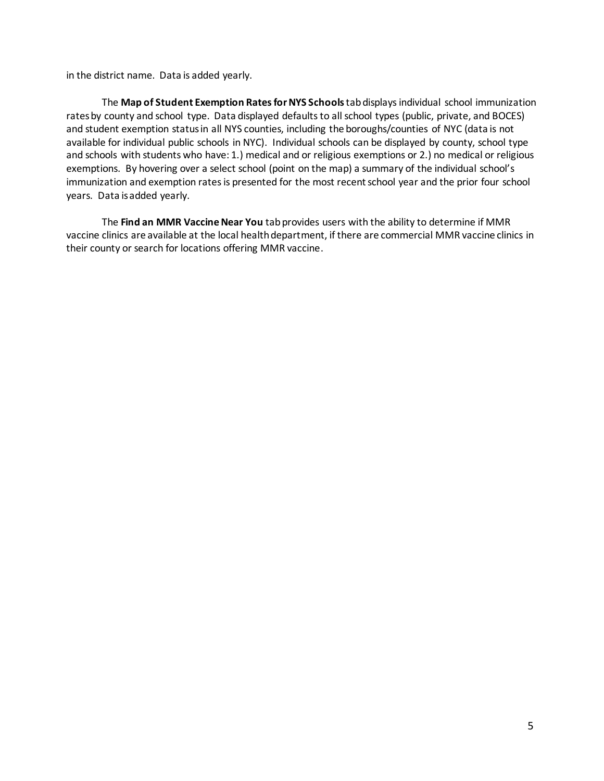in the district name. Data is added yearly.

The **Map of Student Exemption Rates for NYS Schools**tabdisplaysindividual school immunization rates by county and school type. Data displayed defaults to all school types (public, private, and BOCES) and student exemption status in all NYS counties, including the boroughs/counties of NYC (data is not available for individual public schools in NYC). Individual schools can be displayed by county, school type and schools with students who have: 1.) medical and or religious exemptions or 2.) no medical or religious exemptions. By hovering over a select school (point on the map) a summary of the individual school's immunization and exemption rates is presented for the most recent school year and the prior four school years. Data is added yearly.

The **Find an MMR Vaccine Near You** tab provides users with the ability to determine if MMR vaccine clinics are available at the local health department, if there are commercial MMR vaccine clinics in their county or search for locations offering MMR vaccine.